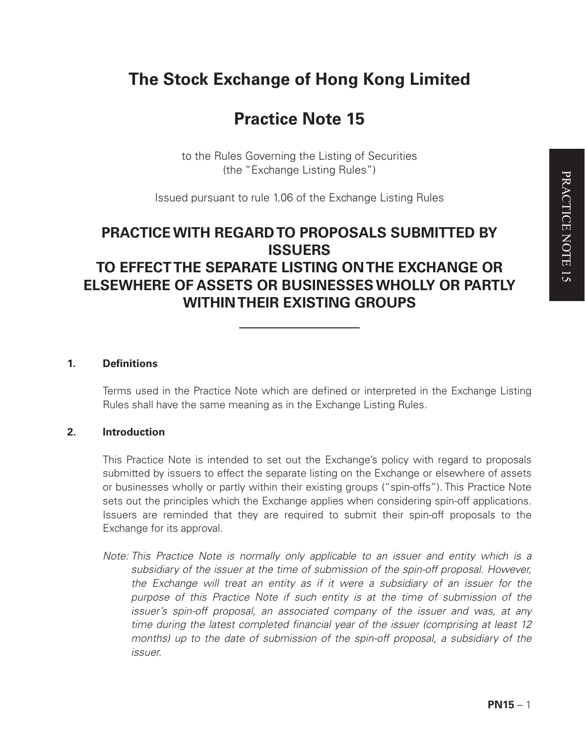# **The Stock Exchange of Hong Kong Limited**

# **Practice Note 15**

to the Rules Governing the Listing of Securities (the "Exchange Listing Rules")

Issued pursuant to rule 1.06 of the Exchange Listing Rules

# **PRACTICE WITH REGARD TO PROPOSALS SUBMITTED BY ISSUERS TO EFFECT THE SEPARATE LISTING ON THE EXCHANGE OR ELSEWHERE OF ASSETS OR BUSINESSES WHOLLY OR PARTLY WITHIN THEIR EXISTING GROUPS**

## **1. Definitions**

Terms used in the Practice Note which are defined or interpreted in the Exchange Listing Rules shall have the same meaning as in the Exchange Listing Rules.

# **2. Introduction**

This Practice Note is intended to set out the Exchange's policy with regard to proposals submitted by issuers to effect the separate listing on the Exchange or elsewhere of assets or businesses wholly or partly within their existing groups ("spin-offs"). This Practice Note sets out the principles which the Exchange applies when considering spin-off applications. Issuers are reminded that they are required to submit their spin-off proposals to the Exchange for its approval.

*Note: This Practice Note is normally only applicable to an issuer and entity which is a subsidiary of the issuer at the time of submission of the spin-off proposal. However, the Exchange will treat an entity as if it were a subsidiary of an issuer for the purpose of this Practice Note if such entity is at the time of submission of the issuer's spin-off proposal, an associated company of the issuer and was, at any time during the latest completed financial year of the issuer (comprising at least 12 months)* up to the date of submission of the spin-off proposal, a subsidiary of the *issuer.*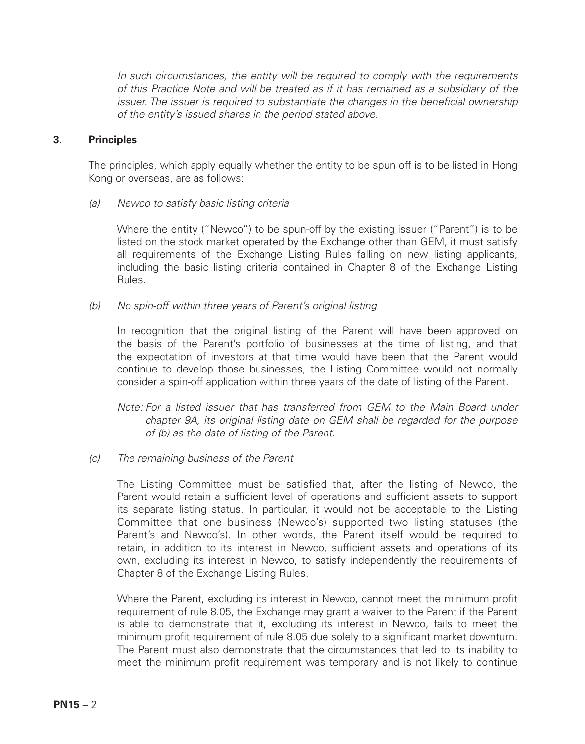*In such circumstances, the entity will be required to comply with the requirements of this Practice Note and will be treated as if it has remained as a subsidiary of the issuer. The issuer is required to substantiate the changes in the beneficial ownership of the entity's issued shares in the period stated above.*

#### **3. Principles**

The principles, which apply equally whether the entity to be spun off is to be listed in Hong Kong or overseas, are as follows:

*(a) Newco to satisfy basic listing criteria*

Where the entity ("Newco") to be spun-off by the existing issuer ("Parent") is to be listed on the stock market operated by the Exchange other than GEM, it must satisfy all requirements of the Exchange Listing Rules falling on new listing applicants, including the basic listing criteria contained in Chapter 8 of the Exchange Listing Rules.

*(b) No spin-off within three years of Parent's original listing*

In recognition that the original listing of the Parent will have been approved on the basis of the Parent's portfolio of businesses at the time of listing, and that the expectation of investors at that time would have been that the Parent would continue to develop those businesses, the Listing Committee would not normally consider a spin-off application within three years of the date of listing of the Parent.

*Note: For a listed issuer that has transferred from GEM to the Main Board under chapter 9A, its original listing date on GEM shall be regarded for the purpose of (b) as the date of listing of the Parent.*

*(c) The remaining business of the Parent*

The Listing Committee must be satisfied that, after the listing of Newco, the Parent would retain a sufficient level of operations and sufficient assets to support its separate listing status. In particular, it would not be acceptable to the Listing Committee that one business (Newco's) supported two listing statuses (the Parent's and Newco's). In other words, the Parent itself would be required to retain, in addition to its interest in Newco, sufficient assets and operations of its own, excluding its interest in Newco, to satisfy independently the requirements of Chapter 8 of the Exchange Listing Rules.

Where the Parent, excluding its interest in Newco, cannot meet the minimum profit requirement of rule 8.05, the Exchange may grant a waiver to the Parent if the Parent is able to demonstrate that it, excluding its interest in Newco, fails to meet the minimum profit requirement of rule 8.05 due solely to a significant market downturn. The Parent must also demonstrate that the circumstances that led to its inability to meet the minimum profit requirement was temporary and is not likely to continue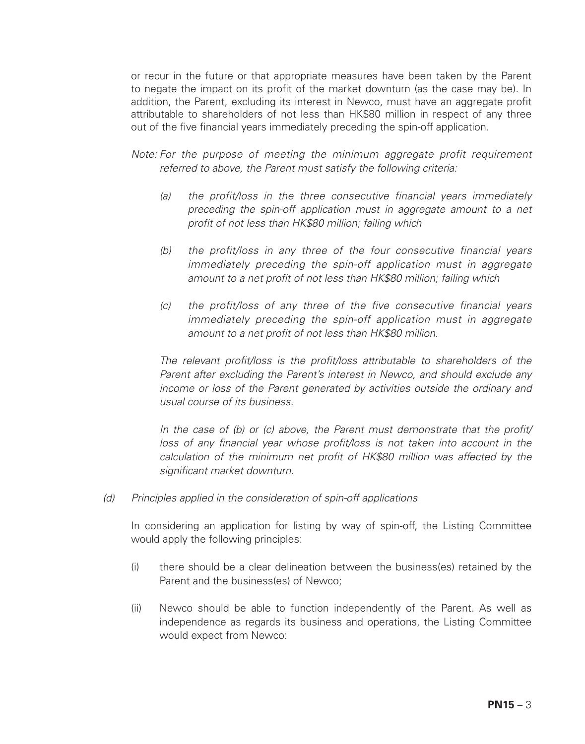or recur in the future or that appropriate measures have been taken by the Parent to negate the impact on its profit of the market downturn (as the case may be). In addition, the Parent, excluding its interest in Newco, must have an aggregate profit attributable to shareholders of not less than HK\$80 million in respect of any three out of the five financial years immediately preceding the spin-off application.

*Note: For the purpose of meeting the minimum aggregate profit requirement referred to above, the Parent must satisfy the following criteria:*

- *(a) the profit/loss in the three consecutive financial years immediately preceding the spin-off application must in aggregate amount to a net profit of not less than HK\$80 million; failing which*
- *(b) the profit/loss in any three of the four consecutive financial years immediately preceding the spin-off application must in aggregate amount to a net profit of not less than HK\$80 million; failing which*
- *(c) the profit/loss of any three of the five consecutive financial years immediately preceding the spin-off application must in aggregate amount to a net profit of not less than HK\$80 million.*

*The relevant profit/loss is the profit/loss attributable to shareholders of the Parent after excluding the Parent's interest in Newco, and should exclude any income or loss of the Parent generated by activities outside the ordinary and usual course of its business.*

*In the case of (b) or (c) above, the Parent must demonstrate that the profit/ loss of any financial year whose profit/loss is not taken into account in the calculation of the minimum net profit of HK\$80 million was affected by the significant market downturn.*

*(d) Principles applied in the consideration of spin-off applications*

In considering an application for listing by way of spin-off, the Listing Committee would apply the following principles:

- (i) there should be a clear delineation between the business(es) retained by the Parent and the business(es) of Newco;
- (ii) Newco should be able to function independently of the Parent. As well as independence as regards its business and operations, the Listing Committee would expect from Newco: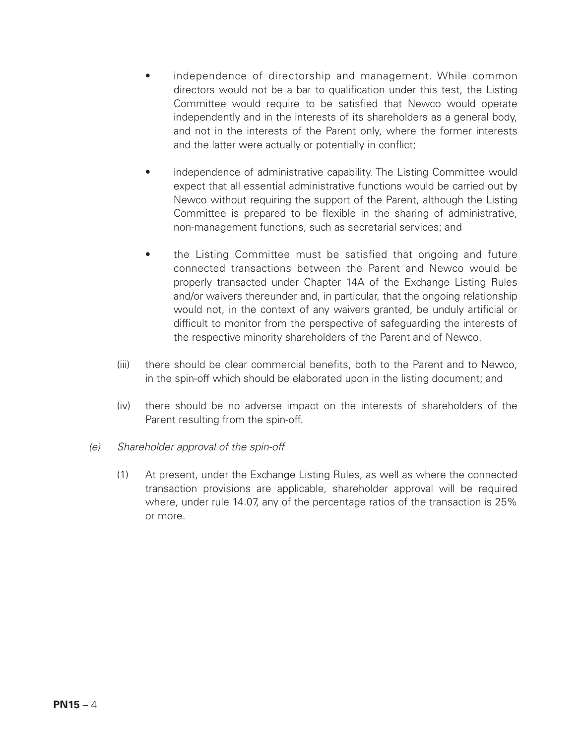- independence of directorship and management. While common directors would not be a bar to qualification under this test, the Listing Committee would require to be satisfied that Newco would operate independently and in the interests of its shareholders as a general body, and not in the interests of the Parent only, where the former interests and the latter were actually or potentially in conflict;
- independence of administrative capability. The Listing Committee would expect that all essential administrative functions would be carried out by Newco without requiring the support of the Parent, although the Listing Committee is prepared to be flexible in the sharing of administrative, non-management functions, such as secretarial services; and
- the Listing Committee must be satisfied that ongoing and future connected transactions between the Parent and Newco would be properly transacted under Chapter 14A of the Exchange Listing Rules and/or waivers thereunder and, in particular, that the ongoing relationship would not, in the context of any waivers granted, be unduly artificial or difficult to monitor from the perspective of safeguarding the interests of the respective minority shareholders of the Parent and of Newco.
- (iii) there should be clear commercial benefits, both to the Parent and to Newco, in the spin-off which should be elaborated upon in the listing document; and
- (iv) there should be no adverse impact on the interests of shareholders of the Parent resulting from the spin-off.
- *(e) Shareholder approval of the spin-off*
	- (1) At present, under the Exchange Listing Rules, as well as where the connected transaction provisions are applicable, shareholder approval will be required where, under rule 14.07, any of the percentage ratios of the transaction is 25% or more.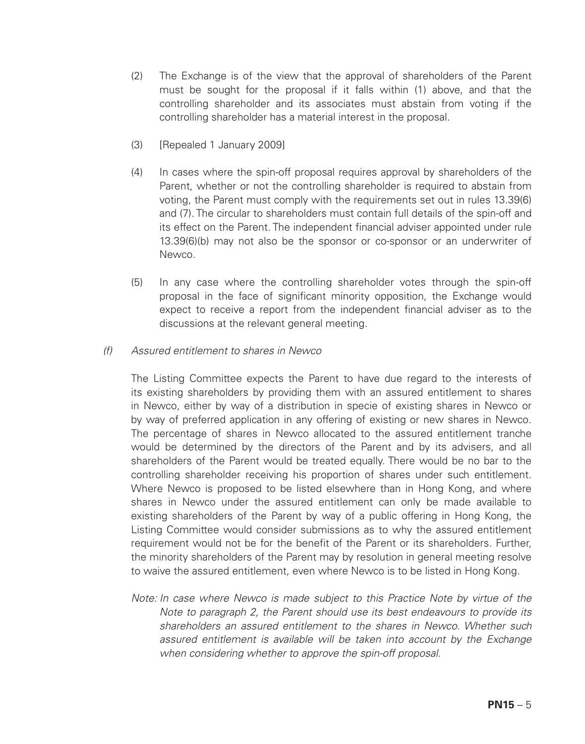- (2) The Exchange is of the view that the approval of shareholders of the Parent must be sought for the proposal if it falls within (1) above, and that the controlling shareholder and its associates must abstain from voting if the controlling shareholder has a material interest in the proposal.
- (3) [Repealed 1 January 2009]
- (4) In cases where the spin-off proposal requires approval by shareholders of the Parent, whether or not the controlling shareholder is required to abstain from voting, the Parent must comply with the requirements set out in rules 13.39(6) and (7). The circular to shareholders must contain full details of the spin-off and its effect on the Parent. The independent financial adviser appointed under rule 13.39(6)(b) may not also be the sponsor or co-sponsor or an underwriter of Newco.
- (5) In any case where the controlling shareholder votes through the spin-off proposal in the face of significant minority opposition, the Exchange would expect to receive a report from the independent financial adviser as to the discussions at the relevant general meeting.
- *(f) Assured entitlement to shares in Newco*

The Listing Committee expects the Parent to have due regard to the interests of its existing shareholders by providing them with an assured entitlement to shares in Newco, either by way of a distribution in specie of existing shares in Newco or by way of preferred application in any offering of existing or new shares in Newco. The percentage of shares in Newco allocated to the assured entitlement tranche would be determined by the directors of the Parent and by its advisers, and all shareholders of the Parent would be treated equally. There would be no bar to the controlling shareholder receiving his proportion of shares under such entitlement. Where Newco is proposed to be listed elsewhere than in Hong Kong, and where shares in Newco under the assured entitlement can only be made available to existing shareholders of the Parent by way of a public offering in Hong Kong, the Listing Committee would consider submissions as to why the assured entitlement requirement would not be for the benefit of the Parent or its shareholders. Further, the minority shareholders of the Parent may by resolution in general meeting resolve to waive the assured entitlement, even where Newco is to be listed in Hong Kong.

*Note: In case where Newco is made subject to this Practice Note by virtue of the Note to paragraph 2, the Parent should use its best endeavours to provide its shareholders an assured entitlement to the shares in Newco. Whether such assured entitlement is available will be taken into account by the Exchange when considering whether to approve the spin-off proposal.*